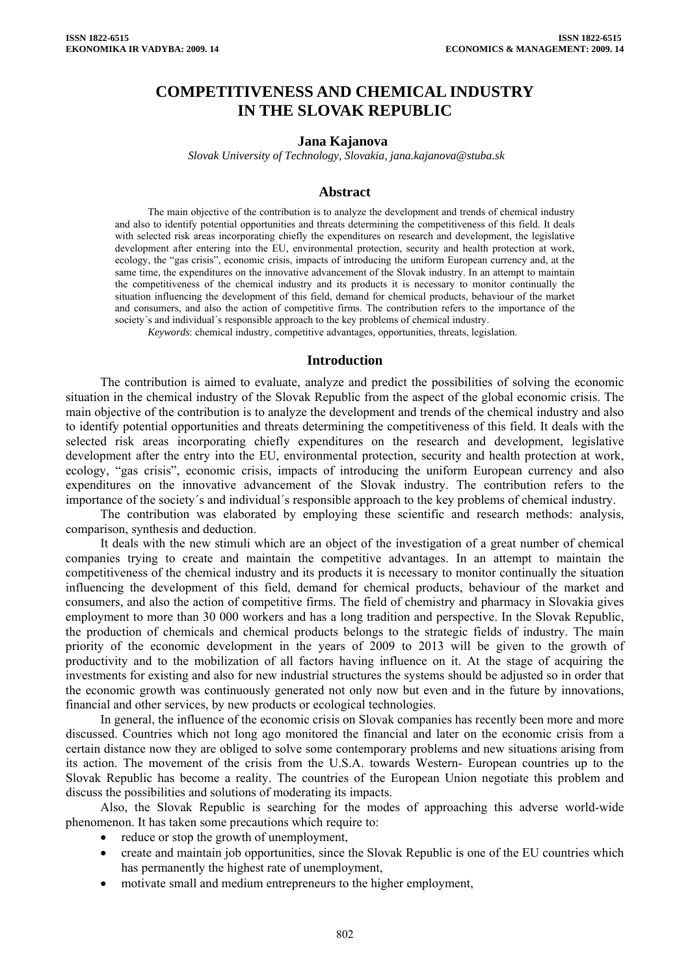# **COMPETITIVENESS AND CHEMICAL INDUSTRY IN THE SLOVAK REPUBLIC**

#### **Jana Kajanova**

 *Slovak University of Technology, Slovakia, jana.kajanova@stuba.sk* 

#### **Abstract**

The main objective of the contribution is to analyze the development and trends of chemical industry and also to identify potential opportunities and threats determining the competitiveness of this field. It deals with selected risk areas incorporating chiefly the expenditures on research and development, the legislative development after entering into the EU, environmental protection, security and health protection at work, ecology, the "gas crisis", economic crisis, impacts of introducing the uniform European currency and, at the same time, the expenditures on the innovative advancement of the Slovak industry. In an attempt to maintain the competitiveness of the chemical industry and its products it is necessary to monitor continually the situation influencing the development of this field, demand for chemical products, behaviour of the market and consumers, and also the action of competitive firms. The contribution refers to the importance of the society´s and individual´s responsible approach to the key problems of chemical industry.

*Keywords*: chemical industry, competitive advantages, opportunities, threats, legislation.

#### **Introduction**

The contribution is aimed to evaluate, analyze and predict the possibilities of solving the economic situation in the chemical industry of the Slovak Republic from the aspect of the global economic crisis. The main objective of the contribution is to analyze the development and trends of the chemical industry and also to identify potential opportunities and threats determining the competitiveness of this field. It deals with the selected risk areas incorporating chiefly expenditures on the research and development, legislative development after the entry into the EU, environmental protection, security and health protection at work, ecology, "gas crisis", economic crisis, impacts of introducing the uniform European currency and also expenditures on the innovative advancement of the Slovak industry. The contribution refers to the importance of the society´s and individual´s responsible approach to the key problems of chemical industry.

The contribution was elaborated by employing these scientific and research methods: analysis, comparison, synthesis and deduction.

It deals with the new stimuli which are an object of the investigation of a great number of chemical companies trying to create and maintain the competitive advantages. In an attempt to maintain the competitiveness of the chemical industry and its products it is necessary to monitor continually the situation influencing the development of this field, demand for chemical products, behaviour of the market and consumers, and also the action of competitive firms. The field of chemistry and pharmacy in Slovakia gives employment to more than 30 000 workers and has a long tradition and perspective. In the Slovak Republic, the production of chemicals and chemical products belongs to the strategic fields of industry. The main priority of the economic development in the years of 2009 to 2013 will be given to the growth of productivity and to the mobilization of all factors having influence on it. At the stage of acquiring the investments for existing and also for new industrial structures the systems should be adjusted so in order that the economic growth was continuously generated not only now but even and in the future by innovations, financial and other services, by new products or ecological technologies.

In general, the influence of the economic crisis on Slovak companies has recently been more and more discussed. Countries which not long ago monitored the financial and later on the economic crisis from a certain distance now they are obliged to solve some contemporary problems and new situations arising from its action. The movement of the crisis from the U.S.A. towards Western- European countries up to the Slovak Republic has become a reality. The countries of the European Union negotiate this problem and discuss the possibilities and solutions of moderating its impacts.

Also, the Slovak Republic is searching for the modes of approaching this adverse world-wide phenomenon. It has taken some precautions which require to:

- reduce or stop the growth of unemployment,
- create and maintain job opportunities, since the Slovak Republic is one of the EU countries which has permanently the highest rate of unemployment,
- motivate small and medium entrepreneurs to the higher employment,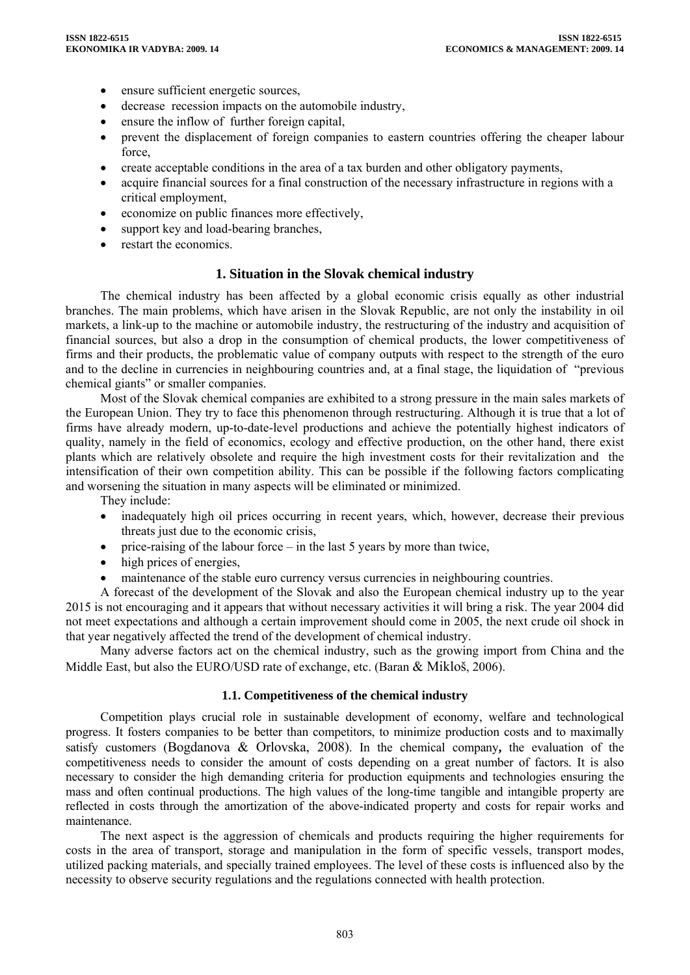- ensure sufficient energetic sources,
- decrease recession impacts on the automobile industry,
- ensure the inflow of further foreign capital,
- prevent the displacement of foreign companies to eastern countries offering the cheaper labour force,
- create acceptable conditions in the area of a tax burden and other obligatory payments,
- acquire financial sources for a final construction of the necessary infrastructure in regions with a critical employment,
- economize on public finances more effectively.
- support key and load-bearing branches.
- restart the economics.

# **1. Situation in the Slovak chemical industry**

The chemical industry has been affected by a global economic crisis equally as other industrial branches. The main problems, which have arisen in the Slovak Republic, are not only the instability in oil markets, a link-up to the machine or automobile industry, the restructuring of the industry and acquisition of financial sources, but also a drop in the consumption of chemical products, the lower competitiveness of firms and their products, the problematic value of company outputs with respect to the strength of the euro and to the decline in currencies in neighbouring countries and, at a final stage, the liquidation of "previous chemical giants" or smaller companies.

Most of the Slovak chemical companies are exhibited to a strong pressure in the main sales markets of the European Union. They try to face this phenomenon through restructuring. Although it is true that a lot of firms have already modern, up-to-date-level productions and achieve the potentially highest indicators of quality, namely in the field of economics, ecology and effective production, on the other hand, there exist plants which are relatively obsolete and require the high investment costs for their revitalization and the intensification of their own competition ability. This can be possible if the following factors complicating and worsening the situation in many aspects will be eliminated or minimized.

They include:

- inadequately high oil prices occurring in recent years, which, however, decrease their previous threats just due to the economic crisis,
- price-raising of the labour force in the last 5 years by more than twice,
- high prices of energies.
- maintenance of the stable euro currency versus currencies in neighbouring countries.

A forecast of the development of the Slovak and also the European chemical industry up to the year 2015 is not encouraging and it appears that without necessary activities it will bring a risk. The year 2004 did not meet expectations and although a certain improvement should come in 2005, the next crude oil shock in that year negatively affected the trend of the development of chemical industry.

Many adverse factors act on the chemical industry, such as the growing import from China and the Middle East, but also the EURO/USD rate of exchange, etc. (Baran & Mikloš, 2006).

### **1.1. Competitiveness of the chemical industry**

Competition plays crucial role in sustainable development of economy, welfare and technological progress. It fosters companies to be better than competitors, to minimize production costs and to maximally satisfy customers (Bogdanova & Orlovska, 2008). In the chemical company**,** the evaluation of the competitiveness needs to consider the amount of costs depending on a great number of factors. It is also necessary to consider the high demanding criteria for production equipments and technologies ensuring the mass and often continual productions. The high values of the long-time tangible and intangible property are reflected in costs through the amortization of the above-indicated property and costs for repair works and maintenance.

The next aspect is the aggression of chemicals and products requiring the higher requirements for costs in the area of transport, storage and manipulation in the form of specific vessels, transport modes, utilized packing materials, and specially trained employees. The level of these costs is influenced also by the necessity to observe security regulations and the regulations connected with health protection.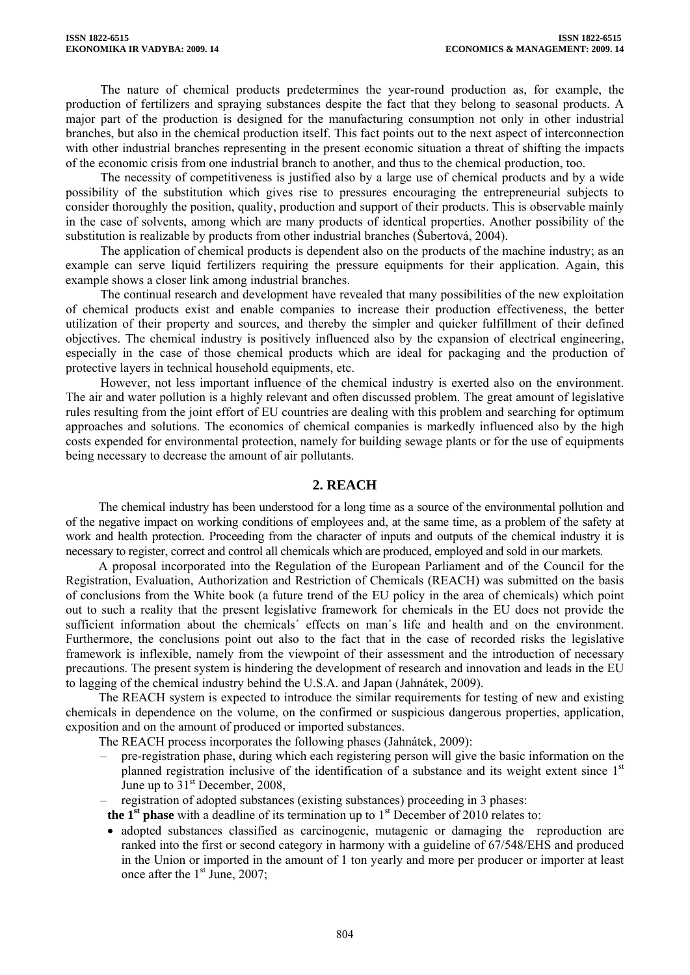The nature of chemical products predetermines the year-round production as, for example, the production of fertilizers and spraying substances despite the fact that they belong to seasonal products. A major part of the production is designed for the manufacturing consumption not only in other industrial branches, but also in the chemical production itself. This fact points out to the next aspect of interconnection with other industrial branches representing in the present economic situation a threat of shifting the impacts of the economic crisis from one industrial branch to another, and thus to the chemical production, too.

The necessity of competitiveness is justified also by a large use of chemical products and by a wide possibility of the substitution which gives rise to pressures encouraging the entrepreneurial subjects to consider thoroughly the position, quality, production and support of their products. This is observable mainly in the case of solvents, among which are many products of identical properties. Another possibility of the substitution is realizable by products from other industrial branches (Šubertová, 2004).

The application of chemical products is dependent also on the products of the machine industry; as an example can serve liquid fertilizers requiring the pressure equipments for their application. Again, this example shows a closer link among industrial branches.

The continual research and development have revealed that many possibilities of the new exploitation of chemical products exist and enable companies to increase their production effectiveness, the better utilization of their property and sources, and thereby the simpler and quicker fulfillment of their defined objectives. The chemical industry is positively influenced also by the expansion of electrical engineering, especially in the case of those chemical products which are ideal for packaging and the production of protective layers in technical household equipments, etc.

However, not less important influence of the chemical industry is exerted also on the environment. The air and water pollution is a highly relevant and often discussed problem. The great amount of legislative rules resulting from the joint effort of EU countries are dealing with this problem and searching for optimum approaches and solutions. The economics of chemical companies is markedly influenced also by the high costs expended for environmental protection, namely for building sewage plants or for the use of equipments being necessary to decrease the amount of air pollutants.

## **2. REACH**

The chemical industry has been understood for a long time as a source of the environmental pollution and of the negative impact on working conditions of employees and, at the same time, as a problem of the safety at work and health protection. Proceeding from the character of inputs and outputs of the chemical industry it is necessary to register, correct and control all chemicals which are produced, employed and sold in our markets.

A proposal incorporated into the Regulation of the European Parliament and of the Council for the Registration, Evaluation, Authorization and Restriction of Chemicals (REACH) was submitted on the basis of conclusions from the White book (a future trend of the EU policy in the area of chemicals) which point out to such a reality that the present legislative framework for chemicals in the EU does not provide the sufficient information about the chemicals´ effects on man´s life and health and on the environment. Furthermore, the conclusions point out also to the fact that in the case of recorded risks the legislative framework is inflexible, namely from the viewpoint of their assessment and the introduction of necessary precautions. The present system is hindering the development of research and innovation and leads in the EU to lagging of the chemical industry behind the U.S.A. and Japan (Jahnátek, 2009).

The REACH system is expected to introduce the similar requirements for testing of new and existing chemicals in dependence on the volume, on the confirmed or suspicious dangerous properties, application, exposition and on the amount of produced or imported substances.

The REACH process incorporates the following phases (Jahnátek, 2009):

- pre-registration phase, during which each registering person will give the basic information on the planned registration inclusive of the identification of a substance and its weight extent since  $1<sup>st</sup>$ June up to  $31<sup>st</sup>$  December, 2008,
- registration of adopted substances (existing substances) proceeding in 3 phases:

**the**  $I<sup>st</sup>$  **phase** with a deadline of its termination up to  $I<sup>st</sup>$  December of 2010 relates to:

• adopted substances classified as carcinogenic, mutagenic or damaging the reproduction are ranked into the first or second category in harmony with a guideline of 67/548/EHS and produced in the Union or imported in the amount of 1 ton yearly and more per producer or importer at least once after the  $1<sup>st</sup>$  June, 2007;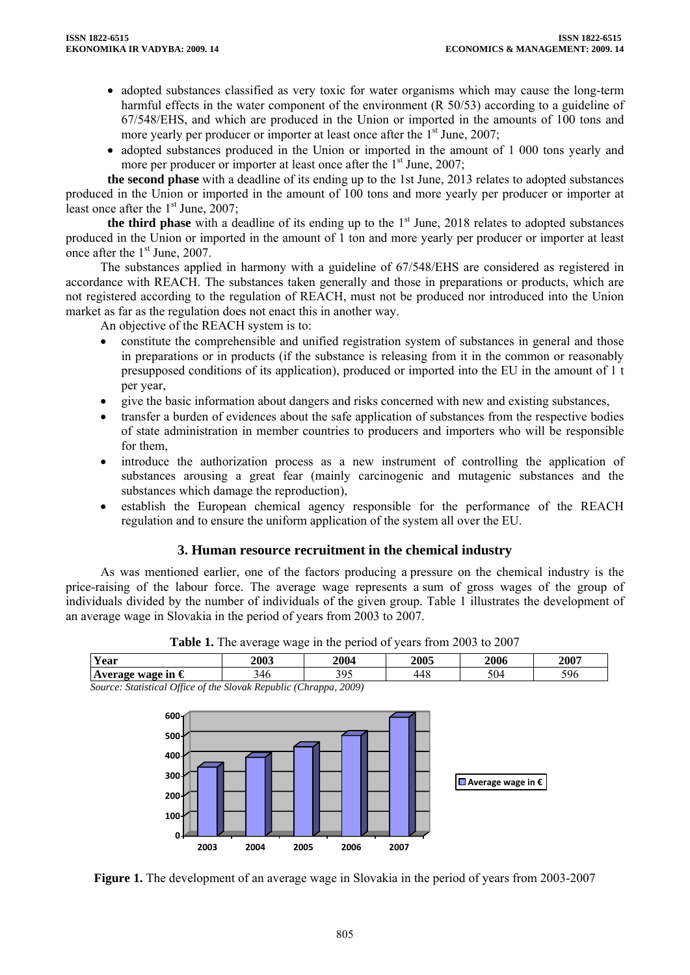- adopted substances classified as very toxic for water organisms which may cause the long-term harmful effects in the water component of the environment (R 50/53) according to a guideline of 67/548/EHS, and which are produced in the Union or imported in the amounts of 100 tons and more yearly per producer or importer at least once after the  $1<sup>st</sup>$  June, 2007;
- adopted substances produced in the Union or imported in the amount of 1 000 tons yearly and more per producer or importer at least once after the  $1<sup>st</sup>$  June, 2007;

**the second phase** with a deadline of its ending up to the 1st June, 2013 relates to adopted substances produced in the Union or imported in the amount of 100 tons and more yearly per producer or importer at least once after the  $1<sup>st</sup>$  June, 2007;

**the third phase** with a deadline of its ending up to the  $1<sup>st</sup>$  June, 2018 relates to adopted substances produced in the Union or imported in the amount of 1 ton and more yearly per producer or importer at least once after the  $1<sup>st</sup>$  June, 2007.

The substances applied in harmony with a guideline of 67/548/EHS are considered as registered in accordance with REACH. The substances taken generally and those in preparations or products, which are not registered according to the regulation of REACH, must not be produced nor introduced into the Union market as far as the regulation does not enact this in another way.

An objective of the REACH system is to:

- constitute the comprehensible and unified registration system of substances in general and those in preparations or in products (if the substance is releasing from it in the common or reasonably presupposed conditions of its application), produced or imported into the EU in the amount of 1 t per year,
- give the basic information about dangers and risks concerned with new and existing substances,
- transfer a burden of evidences about the safe application of substances from the respective bodies of state administration in member countries to producers and importers who will be responsible for them,
- introduce the authorization process as a new instrument of controlling the application of substances arousing a great fear (mainly carcinogenic and mutagenic substances and the substances which damage the reproduction),
- establish the European chemical agency responsible for the performance of the REACH regulation and to ensure the uniform application of the system all over the EU.

# **3. Human resource recruitment in the chemical industry**

As was mentioned earlier, one of the factors producing a pressure on the chemical industry is the price-raising of the labour force. The average wage represents a sum of gross wages of the group of individuals divided by the number of individuals of the given group. Table 1 illustrates the development of an average wage in Slovakia in the period of years from 2003 to 2007.

| <b>THERE</b> Is the average mage in the period of years from 2003 to 2007 |             |      |      |      |      |  |
|---------------------------------------------------------------------------|-------------|------|------|------|------|--|
| Year                                                                      | <b>2003</b> | 2004 | 2005 | 2006 | 2007 |  |
| Average wage in $\epsilon$                                                | 346         | 395  | 448  | 504  | 596  |  |
| Source: Statistical Office of the Slovak Republic (Chrappa, 2009)         |             |      |      |      |      |  |

**Average wage in €**



**Figure 1.** The development of an average wage in Slovakia in the period of years from 2003-2007

**2003 2004 2005 2006 2007**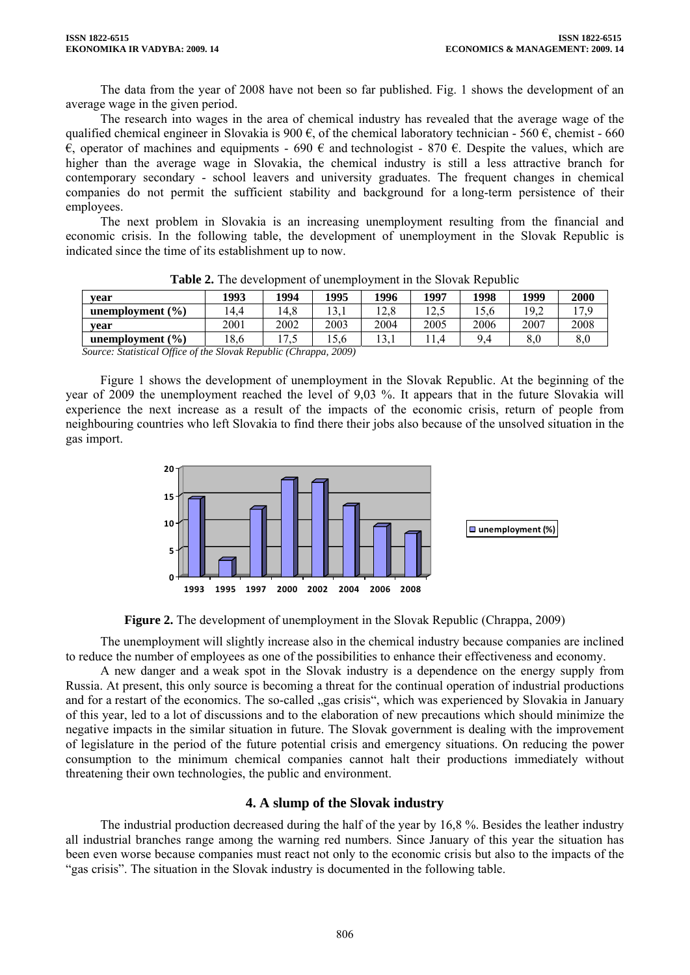The data from the year of 2008 have not been so far published. Fig. 1 shows the development of an average wage in the given period.

The research into wages in the area of chemical industry has revealed that the average wage of the qualified chemical engineer in Slovakia is 900  $\epsilon$ , of the chemical laboratory technician - 560  $\epsilon$ , chemist - 660  $\epsilon$ , operator of machines and equipments - 690  $\epsilon$  and technologist - 870  $\epsilon$ . Despite the values, which are higher than the average wage in Slovakia, the chemical industry is still a less attractive branch for contemporary secondary - school leavers and university graduates. The frequent changes in chemical companies do not permit the sufficient stability and background for a long-term persistence of their employees.

The next problem in Slovakia is an increasing unemployment resulting from the financial and economic crisis. In the following table, the development of unemployment in the Slovak Republic is indicated since the time of its establishment up to now.

| vear                 | 1993 | 1994           | 1995 | 1996                | 1997                   | 1998 | 1999 | 2000 |
|----------------------|------|----------------|------|---------------------|------------------------|------|------|------|
| unemployment $(\% )$ | 4.4  | 14.8           | 13.1 | $\gamma$ o<br>12.0  | $12^{\circ}$<br>ن که ۱ | 15.6 | 19.2 |      |
| vear                 | 2001 | 2002           | 2003 | 2004                | 2005                   | 2006 | 2007 | 2008 |
| unemployment $(\% )$ | 18.6 | $\overline{ }$ | 15.6 | $\cdot$ $\sim$<br>◡ |                        | 94   | 8.0  |      |
|                      |      |                |      |                     |                        |      |      |      |

**Table 2.** The development of unemployment in the Slovak Republic

*Source: Statistical Office of the Slovak Republic (Chrappa, 2009)* 

Figure 1 shows the development of unemployment in the Slovak Republic. At the beginning of the year of 2009 the unemployment reached the level of 9,03 %. It appears that in the future Slovakia will experience the next increase as a result of the impacts of the economic crisis, return of people from neighbouring countries who left Slovakia to find there their jobs also because of the unsolved situation in the gas import.



**Figure 2.** The development of unemployment in the Slovak Republic (Chrappa, 2009)

The unemployment will slightly increase also in the chemical industry because companies are inclined to reduce the number of employees as one of the possibilities to enhance their effectiveness and economy.

A new danger and a weak spot in the Slovak industry is a dependence on the energy supply from Russia. At present, this only source is becoming a threat for the continual operation of industrial productions and for a restart of the economics. The so-called "gas crisis", which was experienced by Slovakia in January of this year, led to a lot of discussions and to the elaboration of new precautions which should minimize the negative impacts in the similar situation in future. The Slovak government is dealing with the improvement of legislature in the period of the future potential crisis and emergency situations. On reducing the power consumption to the minimum chemical companies cannot halt their productions immediately without threatening their own technologies, the public and environment.

# **4. A slump of the Slovak industry**

The industrial production decreased during the half of the year by 16,8 %. Besides the leather industry all industrial branches range among the warning red numbers. Since January of this year the situation has been even worse because companies must react not only to the economic crisis but also to the impacts of the "gas crisis". The situation in the Slovak industry is documented in the following table.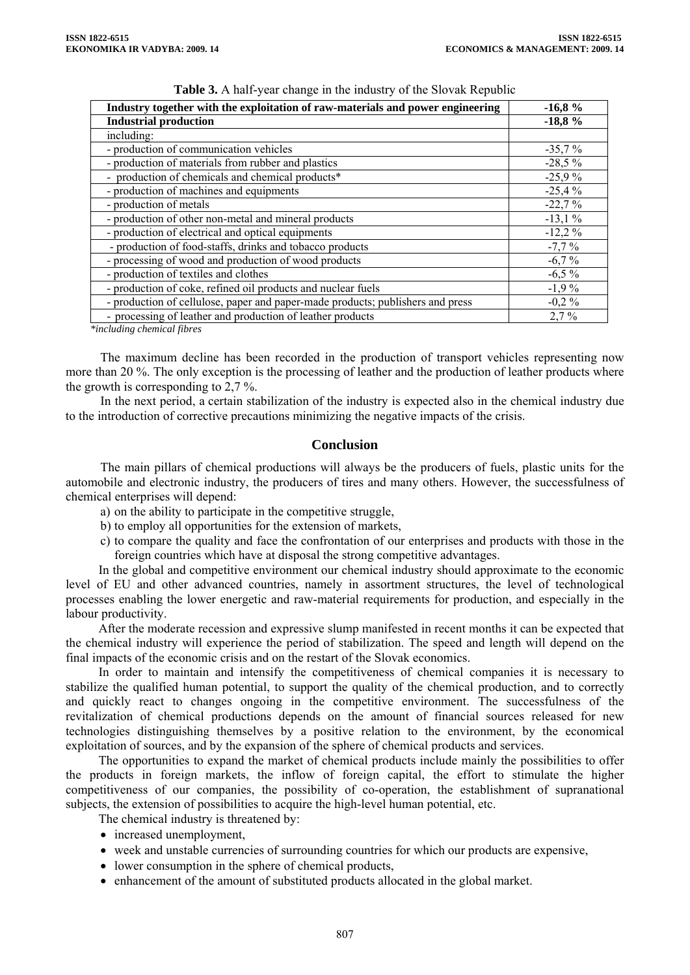| Industry together with the exploitation of raw-materials and power engineering | $-16,8%$  |
|--------------------------------------------------------------------------------|-----------|
| <b>Industrial production</b>                                                   | $-18,8%$  |
| including:                                                                     |           |
| - production of communication vehicles                                         | $-35,7%$  |
| - production of materials from rubber and plastics                             | $-28.5%$  |
| - production of chemicals and chemical products*                               | $-25.9%$  |
| - production of machines and equipments                                        | $-25,4%$  |
| - production of metals                                                         | $-22.7%$  |
| - production of other non-metal and mineral products                           | $-13,1%$  |
| - production of electrical and optical equipments                              | $-12,2%$  |
| - production of food-staffs, drinks and tobacco products                       | $-7,7%$   |
| - processing of wood and production of wood products                           | $-6,7%$   |
| - production of textiles and clothes                                           | $-6,5\%$  |
| - production of coke, refined oil products and nuclear fuels                   | $-1,9%$   |
| - production of cellulose, paper and paper-made products; publishers and press | $-0.2 \%$ |
| - processing of leather and production of leather products                     | 2,7%      |

| Table 3. A half-year change in the industry of the Slovak Republic |  |  |  |
|--------------------------------------------------------------------|--|--|--|
|--------------------------------------------------------------------|--|--|--|

*\*including chemical fibres* 

The maximum decline has been recorded in the production of transport vehicles representing now more than 20 %. The only exception is the processing of leather and the production of leather products where the growth is corresponding to 2,7 %.

In the next period, a certain stabilization of the industry is expected also in the chemical industry due to the introduction of corrective precautions minimizing the negative impacts of the crisis.

### **Conclusion**

The main pillars of chemical productions will always be the producers of fuels, plastic units for the automobile and electronic industry, the producers of tires and many others. However, the successfulness of chemical enterprises will depend:

- a) on the ability to participate in the competitive struggle,
- b) to employ all opportunities for the extension of markets,
- c) to compare the quality and face the confrontation of our enterprises and products with those in the foreign countries which have at disposal the strong competitive advantages.

In the global and competitive environment our chemical industry should approximate to the economic level of EU and other advanced countries, namely in assortment structures, the level of technological processes enabling the lower energetic and raw-material requirements for production, and especially in the labour productivity.

After the moderate recession and expressive slump manifested in recent months it can be expected that the chemical industry will experience the period of stabilization. The speed and length will depend on the final impacts of the economic crisis and on the restart of the Slovak economics.

In order to maintain and intensify the competitiveness of chemical companies it is necessary to stabilize the qualified human potential, to support the quality of the chemical production, and to correctly and quickly react to changes ongoing in the competitive environment. The successfulness of the revitalization of chemical productions depends on the amount of financial sources released for new technologies distinguishing themselves by a positive relation to the environment, by the economical exploitation of sources, and by the expansion of the sphere of chemical products and services.

The opportunities to expand the market of chemical products include mainly the possibilities to offer the products in foreign markets, the inflow of foreign capital, the effort to stimulate the higher competitiveness of our companies, the possibility of co-operation, the establishment of supranational subjects, the extension of possibilities to acquire the high-level human potential, etc.

The chemical industry is threatened by:

- increased unemployment,
- week and unstable currencies of surrounding countries for which our products are expensive,
- lower consumption in the sphere of chemical products,
- enhancement of the amount of substituted products allocated in the global market.